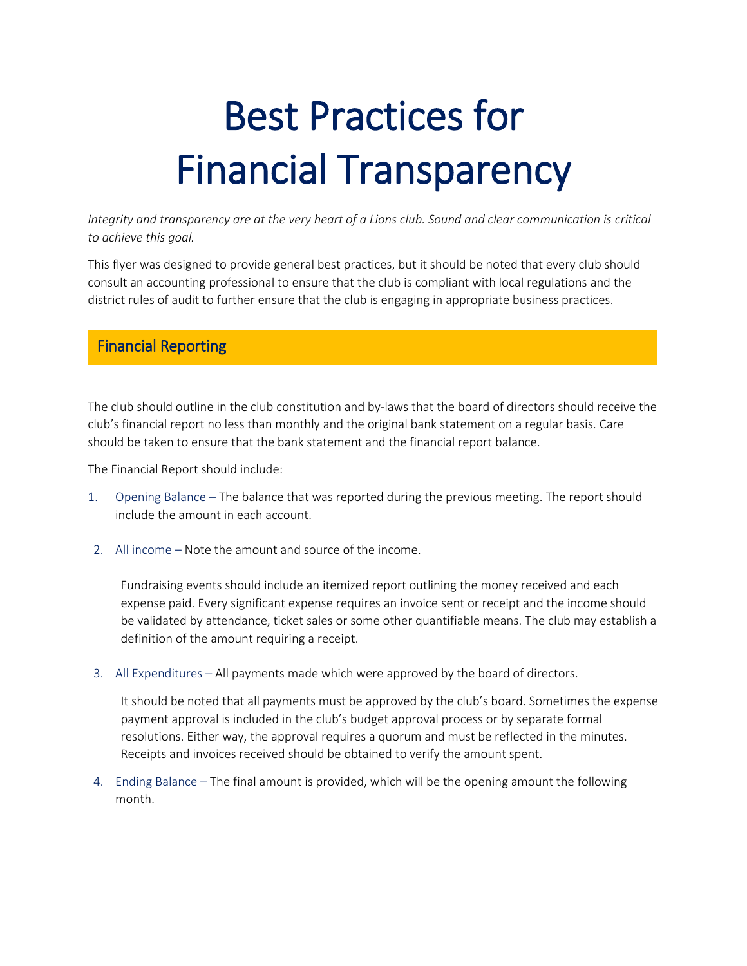# Best Practices for Financial Transparency

*Integrity and transparency are at the very heart of a Lions club. Sound and clear communication is critical to achieve this goal.* 

This flyer was designed to provide general best practices, but it should be noted that every club should consult an accounting professional to ensure that the club is compliant with local regulations and the district rules of audit to further ensure that the club is engaging in appropriate business practices.

## Financial Reporting

The club should outline in the club constitution and by-laws that the board of directors should receive the club's financial report no less than monthly and the original bank statement on a regular basis. Care should be taken to ensure that the bank statement and the financial report balance.

The Financial Report should include:

- 1. Opening Balance The balance that was reported during the previous meeting. The report should include the amount in each account.
- 2. All income Note the amount and source of the income.

Fundraising events should include an itemized report outlining the money received and each expense paid. Every significant expense requires an invoice sent or receipt and the income should be validated by attendance, ticket sales or some other quantifiable means. The club may establish a definition of the amount requiring a receipt.

3. All Expenditures – All payments made which were approved by the board of directors.

It should be noted that all payments must be approved by the club's board. Sometimes the expense payment approval is included in the club's budget approval process or by separate formal resolutions. Either way, the approval requires a quorum and must be reflected in the minutes. Receipts and invoices received should be obtained to verify the amount spent.

4. Ending Balance – The final amount is provided, which will be the opening amount the following month.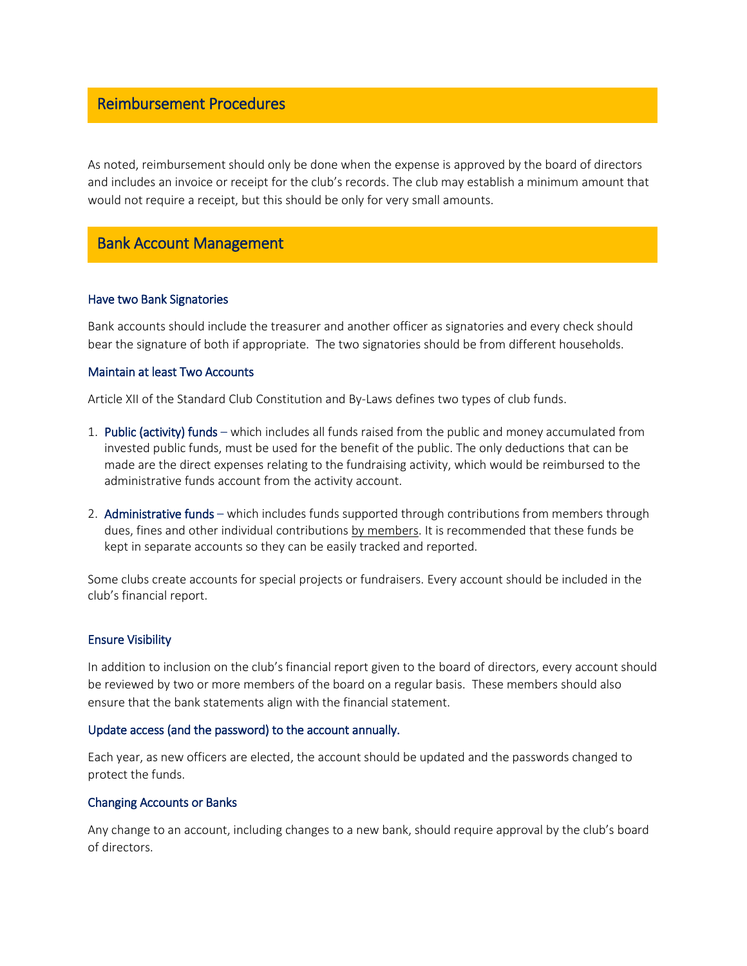### Reimbursement Procedures

As noted, reimbursement should only be done when the expense is approved by the board of directors and includes an invoice or receipt for the club's records. The club may establish a minimum amount that would not require a receipt, but this should be only for very small amounts.

# Bank Account Management

#### Have two Bank Signatories

Bank accounts should include the treasurer and another officer as signatories and every check should bear the signature of both if appropriate. The two signatories should be from different households.

#### Maintain at least Two Accounts

Article XII of the Standard Club Constitution and By-Laws defines two types of club funds.

- 1. Public (activity) funds which includes all funds raised from the public and money accumulated from invested public funds, must be used for the benefit of the public. The only deductions that can be made are the direct expenses relating to the fundraising activity, which would be reimbursed to the administrative funds account from the activity account.
- 2. Administrative funds which includes funds supported through contributions from members through dues, fines and other individual contributions by members. It is recommended that these funds be kept in separate accounts so they can be easily tracked and reported.

Some clubs create accounts for special projects or fundraisers. Every account should be included in the club's financial report.

#### Ensure Visibility

In addition to inclusion on the club's financial report given to the board of directors, every account should be reviewed by two or more members of the board on a regular basis. These members should also ensure that the bank statements align with the financial statement.

#### Update access (and the password) to the account annually.

Each year, as new officers are elected, the account should be updated and the passwords changed to protect the funds.

#### Changing Accounts or Banks

Any change to an account, including changes to a new bank, should require approval by the club's board of directors.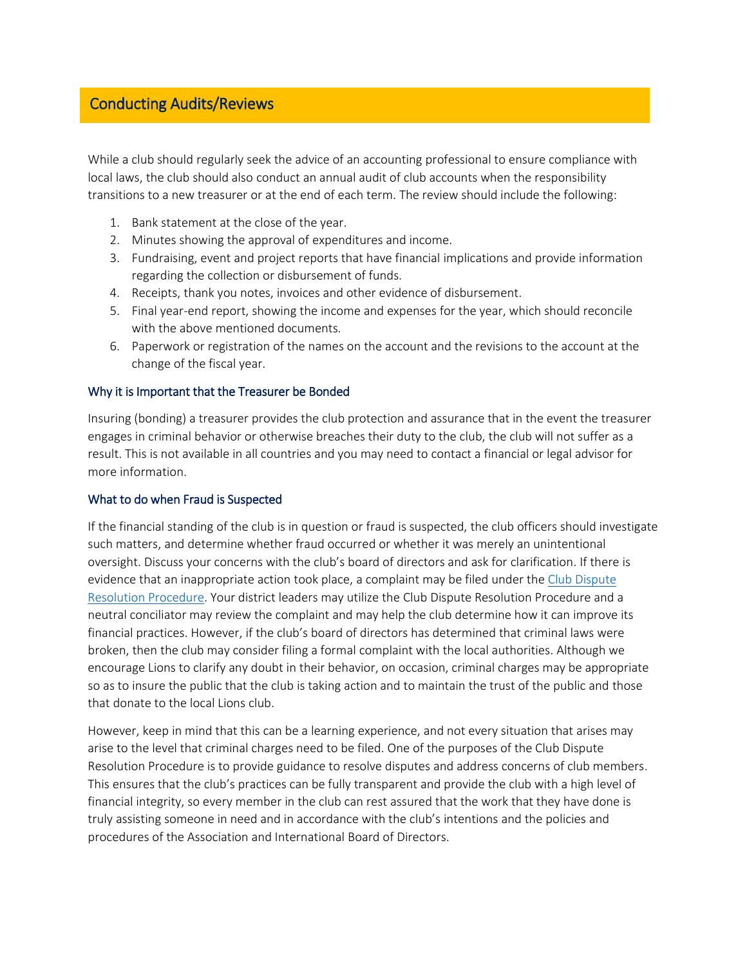## Conducting Audits/Reviews

While a club should regularly seek the advice of an accounting professional to ensure compliance with local laws, the club should also conduct an annual audit of club accounts when the responsibility transitions to a new treasurer or at the end of each term. The review should include the following:

- 1. Bank statement at the close of the year.
- 2. Minutes showing the approval of expenditures and income.
- 3. Fundraising, event and project reports that have financial implications and provide information regarding the collection or disbursement of funds.
- 4. Receipts, thank you notes, invoices and other evidence of disbursement.
- 5. Final year-end report, showing the income and expenses for the year, which should reconcile with the above mentioned documents.
- 6. Paperwork or registration of the names on the account and the revisions to the account at the change of the fiscal year.

#### Why it is Important that the Treasurer be Bonded

Insuring (bonding) a treasurer provides the club protection and assurance that in the event the treasurer engages in criminal behavior or otherwise breaches their duty to the club, the club will not suffer as a result. This is not available in all countries and you may need to contact a financial or legal advisor for more information.

#### What to do when Fraud is Suspected

If the financial standing of the club is in question or fraud is suspected, the club officers should investigate such matters, and determine whether fraud occurred or whether it was merely an unintentional oversight. Discuss your concerns with the club's board of directors and ask for clarification. If there is evidence that an inappropriate action took place, a complaint may be filed under the [Club Dispute](http://www.lionsclubs.org/resources/EN/pdfs/club_dispute.pdf)  [Resolution Procedure.](http://www.lionsclubs.org/resources/EN/pdfs/club_dispute.pdf) Your district leaders may utilize the Club Dispute Resolution Procedure and a neutral conciliator may review the complaint and may help the club determine how it can improve its financial practices. However, if the club's board of directors has determined that criminal laws were broken, then the club may consider filing a formal complaint with the local authorities. Although we encourage Lions to clarify any doubt in their behavior, on occasion, criminal charges may be appropriate so as to insure the public that the club is taking action and to maintain the trust of the public and those that donate to the local Lions club.

However, keep in mind that this can be a learning experience, and not every situation that arises may arise to the level that criminal charges need to be filed. One of the purposes of the Club Dispute Resolution Procedure is to provide guidance to resolve disputes and address concerns of club members. This ensures that the club's practices can be fully transparent and provide the club with a high level of financial integrity, so every member in the club can rest assured that the work that they have done is truly assisting someone in need and in accordance with the club's intentions and the policies and procedures of the Association and International Board of Directors.